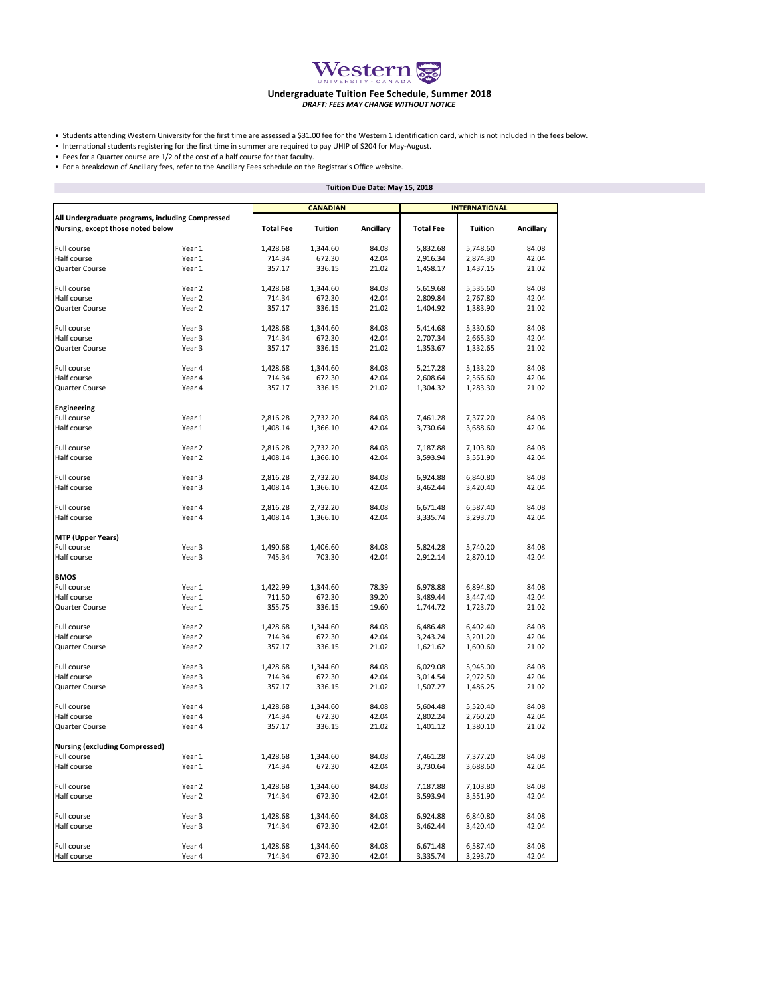

## **Undergraduate Tuition Fee Schedule, Summer 2018** *DRAFT: FEES MAY CHANGE WITHOUT NOTICE*

• Students attending Western University for the first time are assessed a \$31.00 fee for the Western 1 identification card, which is not included in the fees below.

• International students registering for the first time in summer are required to pay UHIP of \$204 for May-August.

• Fees for a Quarter course are 1/2 of the cost of a half course for that faculty.

П

• For a breakdown of Ancillary fees, refer to the Ancillary Fees schedule on the Registrar's Office website.

|                                                                                       |                  | Tuition Due Date: May 15, 2018 |          |           |                      |                |           |  |  |
|---------------------------------------------------------------------------------------|------------------|--------------------------------|----------|-----------|----------------------|----------------|-----------|--|--|
|                                                                                       |                  | <b>CANADIAN</b>                |          |           | <b>INTERNATIONAL</b> |                |           |  |  |
| All Undergraduate programs, including Compressed<br>Nursing, except those noted below |                  | <b>Total Fee</b>               | Tuition  | Ancillary | <b>Total Fee</b>     | <b>Tuition</b> | Ancillary |  |  |
| Full course                                                                           | Year 1           | 1,428.68                       | 1,344.60 | 84.08     | 5,832.68             | 5,748.60       | 84.08     |  |  |
| Half course                                                                           | Year 1           | 714.34                         | 672.30   | 42.04     | 2,916.34             | 2,874.30       | 42.04     |  |  |
|                                                                                       |                  |                                |          |           |                      |                |           |  |  |
| Quarter Course                                                                        | Year 1           | 357.17                         | 336.15   | 21.02     | 1,458.17             | 1,437.15       | 21.02     |  |  |
| Full course                                                                           | Year 2           | 1,428.68                       | 1,344.60 | 84.08     | 5,619.68             | 5,535.60       | 84.08     |  |  |
| Half course                                                                           | Year 2           | 714.34                         | 672.30   | 42.04     | 2,809.84             | 2,767.80       | 42.04     |  |  |
| Quarter Course                                                                        | Year 2           | 357.17                         | 336.15   | 21.02     | 1,404.92             | 1,383.90       | 21.02     |  |  |
| Full course                                                                           | Year 3           | 1,428.68                       | 1,344.60 | 84.08     | 5,414.68             | 5,330.60       | 84.08     |  |  |
| Half course                                                                           | Year 3           | 714.34                         | 672.30   | 42.04     | 2,707.34             | 2,665.30       | 42.04     |  |  |
| Quarter Course                                                                        | Year 3           | 357.17                         | 336.15   | 21.02     | 1,353.67             | 1,332.65       | 21.02     |  |  |
|                                                                                       |                  |                                |          |           |                      |                |           |  |  |
| Full course                                                                           | Year 4           | 1,428.68                       | 1,344.60 | 84.08     | 5,217.28             | 5,133.20       | 84.08     |  |  |
| Half course                                                                           | Year 4           | 714.34                         | 672.30   | 42.04     | 2,608.64             | 2,566.60       | 42.04     |  |  |
| Quarter Course                                                                        | Year 4           | 357.17                         | 336.15   | 21.02     | 1,304.32             | 1,283.30       | 21.02     |  |  |
| <b>Engineering</b>                                                                    |                  |                                |          |           |                      |                |           |  |  |
| Full course                                                                           | Year 1           | 2,816.28                       | 2,732.20 | 84.08     | 7,461.28             | 7,377.20       | 84.08     |  |  |
| Half course                                                                           | Year 1           | 1,408.14                       | 1,366.10 | 42.04     | 3,730.64             | 3,688.60       | 42.04     |  |  |
| Full course                                                                           | Year 2           | 2,816.28                       | 2,732.20 | 84.08     | 7,187.88             | 7,103.80       | 84.08     |  |  |
| Half course                                                                           | Year 2           |                                |          | 42.04     | 3,593.94             |                | 42.04     |  |  |
|                                                                                       |                  | 1,408.14                       | 1,366.10 |           |                      | 3,551.90       |           |  |  |
| Full course                                                                           | Year 3           | 2,816.28                       | 2,732.20 | 84.08     | 6,924.88             | 6,840.80       | 84.08     |  |  |
| Half course                                                                           | Year 3           | 1,408.14                       | 1,366.10 | 42.04     | 3,462.44             | 3,420.40       | 42.04     |  |  |
| Full course                                                                           | Year 4           | 2,816.28                       | 2,732.20 | 84.08     | 6,671.48             | 6,587.40       | 84.08     |  |  |
|                                                                                       | Year 4           |                                |          |           |                      |                |           |  |  |
| Half course                                                                           |                  | 1,408.14                       | 1,366.10 | 42.04     | 3,335.74             | 3,293.70       | 42.04     |  |  |
| <b>MTP (Upper Years)</b>                                                              |                  |                                |          |           |                      |                |           |  |  |
| Full course                                                                           | Year 3           | 1,490.68                       | 1,406.60 | 84.08     | 5,824.28             | 5,740.20       | 84.08     |  |  |
| Half course                                                                           | Year 3           | 745.34                         | 703.30   | 42.04     | 2,912.14             | 2,870.10       | 42.04     |  |  |
| BMOS                                                                                  |                  |                                |          |           |                      |                |           |  |  |
| Full course                                                                           | Year 1           | 1,422.99                       | 1,344.60 | 78.39     | 6,978.88             | 6,894.80       | 84.08     |  |  |
| Half course                                                                           | Year 1           | 711.50                         | 672.30   | 39.20     | 3,489.44             | 3,447.40       | 42.04     |  |  |
| Quarter Course                                                                        | Year 1           | 355.75                         | 336.15   | 19.60     | 1,744.72             | 1,723.70       | 21.02     |  |  |
|                                                                                       |                  |                                |          |           |                      |                |           |  |  |
| Full course                                                                           | Year 2           | 1,428.68                       | 1,344.60 | 84.08     | 6,486.48             | 6,402.40       | 84.08     |  |  |
| Half course                                                                           | Year 2           | 714.34                         | 672.30   | 42.04     | 3,243.24             | 3,201.20       | 42.04     |  |  |
| Quarter Course                                                                        | Year 2           | 357.17                         | 336.15   | 21.02     | 1,621.62             | 1,600.60       | 21.02     |  |  |
| Full course                                                                           | Year 3           | 1,428.68                       | 1,344.60 | 84.08     | 6,029.08             | 5,945.00       | 84.08     |  |  |
| Half course                                                                           | Year 3           | 714.34                         | 672.30   | 42.04     | 3,014.54             | 2,972.50       | 42.04     |  |  |
| Quarter Course                                                                        | Year 3           | 357.17                         | 336.15   | 21.02     | 1,507.27             | 1,486.25       | 21.02     |  |  |
| Full course                                                                           | Year 4           | 1,428.68                       | 1,344.60 | 84.08     | 5,604.48             | 5,520.40       | 84.08     |  |  |
| Half course                                                                           | Year 4           |                                |          |           |                      |                |           |  |  |
|                                                                                       |                  | 714.34                         | 672.30   | 42.04     | 2,802.24             | 2,760.20       | 42.04     |  |  |
| Quarter Course                                                                        | Year 4           | 357.17                         | 336.15   | 21.02     | 1,401.12             | 1,380.10       | 21.02     |  |  |
| <b>Nursing (excluding Compressed)</b>                                                 |                  |                                |          |           |                      |                |           |  |  |
| Full course                                                                           | Year 1           | 1,428.68                       | 1,344.60 | 84.08     | 7,461.28             | 7,377.20       | 84.08     |  |  |
| Half course                                                                           | Year 1           | 714.34                         | 672.30   | 42.04     | 3,730.64             | 3,688.60       | 42.04     |  |  |
| Full course                                                                           | Year 2           | 1,428.68                       | 1,344.60 | 84.08     | 7,187.88             | 7,103.80       | 84.08     |  |  |
| Half course                                                                           | Year 2           | 714.34                         | 672.30   | 42.04     | 3,593.94             | 3,551.90       | 42.04     |  |  |
|                                                                                       |                  | 1,428.68                       |          |           |                      |                |           |  |  |
| Full course                                                                           | Year 3<br>Year 3 |                                | 1,344.60 | 84.08     | 6,924.88<br>3,462.44 | 6,840.80       | 84.08     |  |  |
| Half course                                                                           |                  | 714.34                         | 672.30   | 42.04     |                      | 3,420.40       | 42.04     |  |  |
| Full course                                                                           | Year 4           | 1,428.68                       | 1,344.60 | 84.08     | 6,671.48             | 6,587.40       | 84.08     |  |  |
| Half course                                                                           | Year 4           | 714.34                         | 672.30   | 42.04     | 3,335.74             | 3,293.70       | 42.04     |  |  |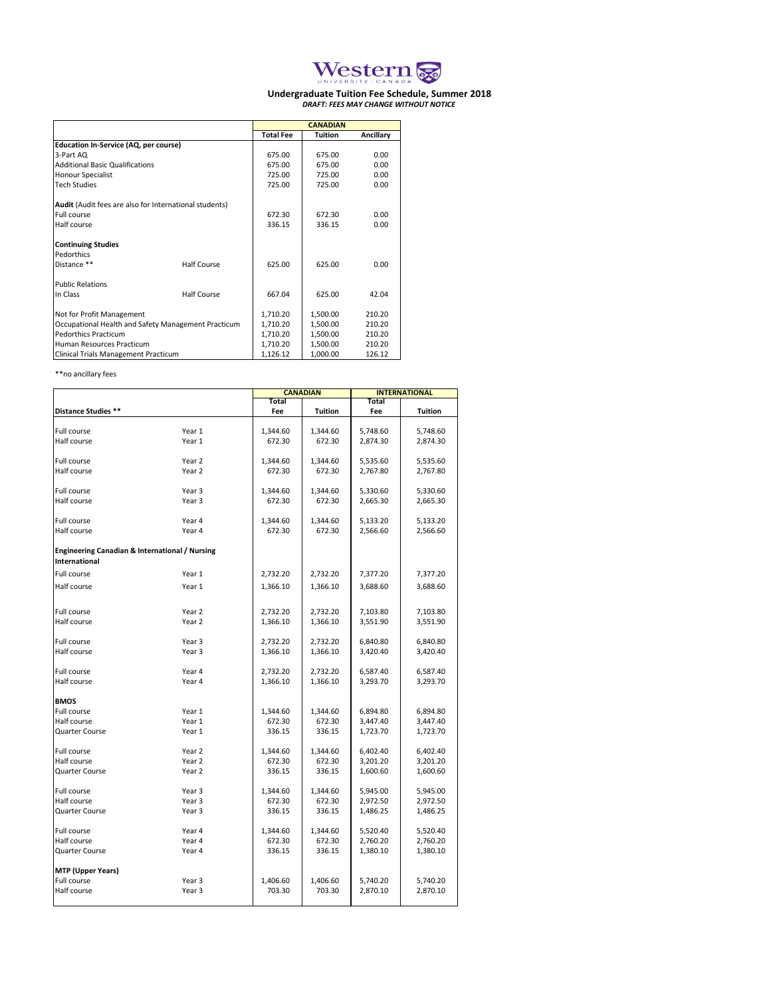

## **Undergraduate Tuition Fee Schedule, Summer 2018** *DRAFT: FEES MAY CHANGE WITHOUT NOTICE*

|                                                        |                    | <b>CANADIAN</b>  |          |           |  |  |
|--------------------------------------------------------|--------------------|------------------|----------|-----------|--|--|
|                                                        |                    | <b>Total Fee</b> | Tuition  | Ancillary |  |  |
| <b>Education In-Service (AQ, per course)</b>           |                    |                  |          |           |  |  |
| 3-Part AQ                                              |                    | 675.00           | 675.00   | 0.00      |  |  |
| <b>Additional Basic Qualifications</b>                 |                    | 675.00           | 675.00   | 0.00      |  |  |
| <b>Honour Specialist</b>                               |                    | 725.00           | 725.00   | 0.00      |  |  |
| <b>Tech Studies</b>                                    |                    | 725.00           | 725.00   | 0.00      |  |  |
| Audit (Audit fees are also for International students) |                    |                  |          |           |  |  |
| Full course                                            |                    | 672.30           | 672.30   | 0.00      |  |  |
| Half course                                            |                    | 336.15           | 336.15   | 0.00      |  |  |
| <b>Continuing Studies</b><br>Pedorthics                |                    |                  |          |           |  |  |
| Distance **                                            | Half Course        | 625.00           | 625.00   | 0.00      |  |  |
| <b>Public Relations</b>                                |                    |                  |          |           |  |  |
| In Class                                               | <b>Half Course</b> | 667.04           | 625.00   | 42.04     |  |  |
| Not for Profit Management                              |                    | 1,710.20         | 1,500.00 | 210.20    |  |  |
| Occupational Health and Safety Management Practicum    | 1,710.20           | 1,500.00         | 210.20   |           |  |  |
| <b>Pedorthics Practicum</b>                            | 1,710.20           | 1,500.00         | 210.20   |           |  |  |
| Human Resources Practicum                              | 1,710.20           | 1,500.00         | 210.20   |           |  |  |
| Clinical Trials Management Practicum                   | 1,126.12           | 1,000.00         | 126.12   |           |  |  |

## \*\*no ancillary fees

|                                                |                             |                  | <b>CANADIAN</b>  | <b>INTERNATIONAL</b> |          |  |  |
|------------------------------------------------|-----------------------------|------------------|------------------|----------------------|----------|--|--|
|                                                |                             | <b>Total</b>     |                  | <b>Total</b>         |          |  |  |
| Distance Studies **                            |                             | Fee              | Tuition          | Fee                  | Tuition  |  |  |
|                                                |                             |                  |                  |                      |          |  |  |
| Full course                                    | Year 1                      | 1,344.60         | 1,344.60         | 5,748.60             | 5,748.60 |  |  |
| Half course                                    | Year 1                      | 672.30           | 672.30           | 2,874.30             | 2,874.30 |  |  |
|                                                |                             |                  |                  |                      |          |  |  |
| Full course                                    | Year 2                      | 1,344.60         | 1,344.60         | 5,535.60             | 5,535.60 |  |  |
| Half course                                    | Year 2                      | 672.30           | 672.30           | 2,767.80             | 2,767.80 |  |  |
|                                                |                             |                  |                  |                      |          |  |  |
| Full course                                    | Year 3                      | 1,344.60         | 1,344.60         | 5,330.60             | 5,330.60 |  |  |
| Half course                                    | Year 3                      | 672.30           | 672.30           | 2,665.30             | 2,665.30 |  |  |
|                                                |                             |                  |                  |                      |          |  |  |
| Full course                                    | Year 4                      | 1,344.60         | 1,344.60         | 5,133.20             | 5,133.20 |  |  |
| Half course                                    | Year 4                      | 672.30           | 672.30           | 2,566.60             | 2,566.60 |  |  |
|                                                |                             |                  |                  |                      |          |  |  |
| Engineering Canadian & International / Nursing |                             |                  |                  |                      |          |  |  |
| International                                  |                             |                  |                  |                      |          |  |  |
| Full course                                    | Year 1                      | 2,732.20         | 2,732.20         | 7,377.20             | 7,377.20 |  |  |
| Half course                                    | Year 1                      | 1,366.10         | 1,366.10         | 3,688.60             | 3,688.60 |  |  |
|                                                |                             |                  |                  |                      |          |  |  |
|                                                |                             |                  |                  |                      |          |  |  |
| Full course                                    | Year 2                      | 2,732.20         | 2,732.20         | 7,103.80             | 7,103.80 |  |  |
| Half course                                    | Year 2                      | 1,366.10         | 1,366.10         | 3,551.90             | 3,551.90 |  |  |
|                                                |                             |                  |                  |                      |          |  |  |
| Full course                                    | Year 3                      | 2,732.20         | 2,732.20         | 6,840.80             | 6,840.80 |  |  |
| Half course                                    | Year 3                      | 1,366.10         | 1,366.10         | 3,420.40             | 3,420.40 |  |  |
|                                                |                             |                  |                  |                      |          |  |  |
| Full course                                    | Year 4                      | 2,732.20         | 2,732.20         | 6,587.40             | 6,587.40 |  |  |
| Half course                                    | Year 4                      | 1,366.10         | 1,366.10         | 3,293.70             | 3,293.70 |  |  |
|                                                |                             |                  |                  |                      |          |  |  |
| <b>BMOS</b>                                    |                             |                  |                  |                      |          |  |  |
| Full course                                    | Year 1                      | 1,344.60         | 1,344.60         | 6,894.80             | 6,894.80 |  |  |
| Half course                                    | Year 1                      | 672.30           | 672.30           | 3,447.40             | 3,447.40 |  |  |
| Quarter Course                                 | Year 1                      | 336.15           | 336.15           | 1,723.70             | 1,723.70 |  |  |
|                                                |                             |                  |                  |                      |          |  |  |
| Full course<br>Half course                     | Year 2<br>Year <sub>2</sub> | 1,344.60         | 1,344.60         | 6,402.40             | 6,402.40 |  |  |
| Quarter Course                                 | Year 2                      | 672.30<br>336.15 | 672.30<br>336.15 | 3,201.20             | 3,201.20 |  |  |
|                                                |                             |                  |                  | 1,600.60             | 1,600.60 |  |  |
| Full course                                    | Year 3                      | 1,344.60         | 1,344.60         | 5,945.00             | 5,945.00 |  |  |
| Half course                                    | Year 3                      | 672.30           | 672.30           | 2,972.50             | 2,972.50 |  |  |
| Quarter Course                                 | Year 3                      | 336.15           | 336.15           | 1,486.25             | 1,486.25 |  |  |
|                                                |                             |                  |                  |                      |          |  |  |
| Full course                                    | Year 4                      | 1,344.60         | 1,344.60         | 5,520.40             | 5,520.40 |  |  |
| Half course                                    | Year 4                      | 672.30           | 672.30           | 2,760.20             | 2,760.20 |  |  |
| Quarter Course                                 | Year 4                      | 336.15           | 336.15           | 1,380.10             | 1,380.10 |  |  |
|                                                |                             |                  |                  |                      |          |  |  |
| <b>MTP (Upper Years)</b>                       |                             |                  |                  |                      |          |  |  |
| Full course                                    | Year <sub>3</sub>           | 1,406.60         | 1,406.60         | 5,740.20             | 5,740.20 |  |  |
| Half course                                    | Year 3                      | 703.30           | 703.30           | 2,870.10             | 2,870.10 |  |  |
|                                                |                             |                  |                  |                      |          |  |  |